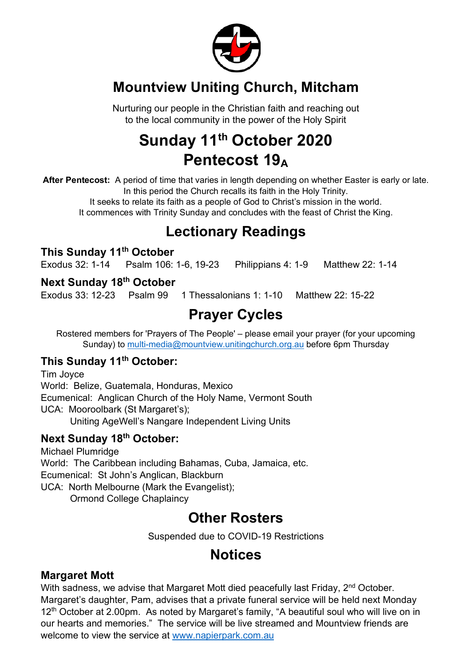

## **Mountview Uniting Church, Mitcham**

Nurturing our people in the Christian faith and reaching out to the local community in the power of the Holy Spirit

# **Sunday 11th October 2020 Pentecost 19A**

**After Pentecost:** A period of time that varies in length depending on whether Easter is early or late. In this period the Church recalls its faith in the Holy Trinity.

It seeks to relate its faith as a people of God to Christ's mission in the world. It commences with Trinity Sunday and concludes with the feast of Christ the King.

## **Lectionary Readings**

### **This Sunday 11th October**

Exodus 32: 1-14 Psalm 106: 1-6, 19-23 Philippians 4: 1-9 Matthew 22: 1-14

#### **Next Sunday 18th October**

Exodus 33: 12-23 Psalm 99 1 Thessalonians 1: 1-10 Matthew 22: 15-22

# **Prayer Cycles**

Rostered members for 'Prayers of The People' – please email your prayer (for your upcoming Sunday) to multi-media@mountview.unitingchurch.org.au before 6pm Thursday

## **This Sunday 11th October:**

Tim Joyce World: Belize, Guatemala, Honduras, Mexico Ecumenical: Anglican Church of the Holy Name, Vermont South UCA: Mooroolbark (St Margaret's); Uniting AgeWell's Nangare Independent Living Units

### **Next Sunday 18th October:**

Michael Plumridge World: The Caribbean including Bahamas, Cuba, Jamaica, etc. Ecumenical: St John's Anglican, Blackburn UCA: North Melbourne (Mark the Evangelist); Ormond College Chaplaincy

## **Other Rosters**

Suspended due to COVID-19 Restrictions

# **Notices**

### **Margaret Mott**

With sadness, we advise that Margaret Mott died peacefully last Friday, 2<sup>nd</sup> October. Margaret's daughter, Pam, advises that a private funeral service will be held next Monday 12<sup>th</sup> October at 2.00pm. As noted by Margaret's family, "A beautiful soul who will live on in our hearts and memories." The service will be live streamed and Mountview friends are welcome to view the service at www.napierpark.com.au